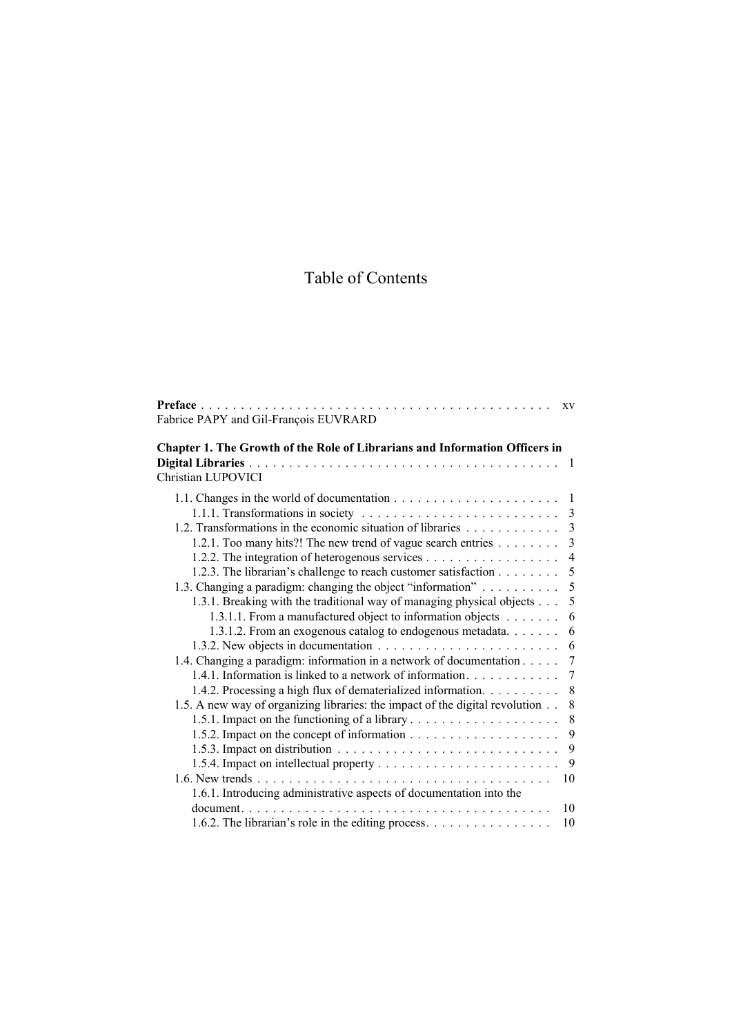# Table of Contents

|                                                                              | XV             |
|------------------------------------------------------------------------------|----------------|
| Fabrice PAPY and Gil-François EUVRARD                                        |                |
| Chapter 1. The Growth of the Role of Librarians and Information Officers in  |                |
|                                                                              | -1             |
| Christian LUPOVICI                                                           |                |
|                                                                              |                |
|                                                                              |                |
| 1.2. Transformations in the economic situation of libraries                  | $\overline{3}$ |
| 1.2.1. Too many hits?! The new trend of vague search entries                 | 3              |
|                                                                              | 4              |
| 1.2.3. The librarian's challenge to reach customer satisfaction              | 5              |
| 1.3. Changing a paradigm: changing the object "information"                  | 5              |
| 1.3.1. Breaking with the traditional way of managing physical objects        | 5              |
| 1.3.1.1. From a manufactured object to information objects                   | 6              |
| 1.3.1.2. From an exogenous catalog to endogenous metadata.                   | 6              |
|                                                                              | 6              |
| 1.4. Changing a paradigm: information in a network of documentation          | $\tau$         |
| 1.4.1. Information is linked to a network of information.                    | 7              |
| 1.4.2. Processing a high flux of dematerialized information.                 | 8              |
| 1.5. A new way of organizing libraries: the impact of the digital revolution | $8\,$          |
| 1.5.1. Impact on the functioning of a library                                | $\,8\,$        |
|                                                                              | 9              |
|                                                                              | 9              |
|                                                                              | 9              |
|                                                                              | 10             |
| 1.6.1. Introducing administrative aspects of documentation into the          |                |
| document                                                                     | 10             |
|                                                                              | 10             |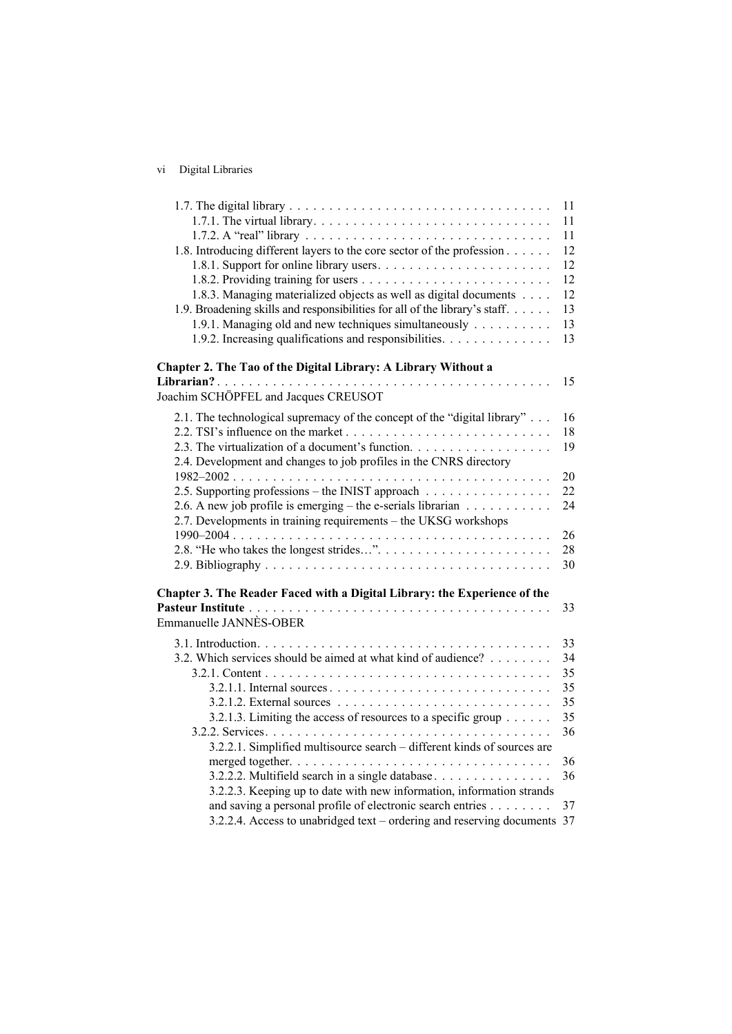### vi Digital Libraries

|                                                                                  | 11 |
|----------------------------------------------------------------------------------|----|
|                                                                                  | 11 |
|                                                                                  | 11 |
| 1.8. Introducing different layers to the core sector of the profession           | 12 |
|                                                                                  | 12 |
|                                                                                  | 12 |
| 1.8.3. Managing materialized objects as well as digital documents                | 12 |
| 1.9. Broadening skills and responsibilities for all of the library's staff.      | 13 |
| 1.9.1. Managing old and new techniques simultaneously                            | 13 |
| 1.9.2. Increasing qualifications and responsibilities.                           | 13 |
| Chapter 2. The Tao of the Digital Library: A Library Without a                   |    |
|                                                                                  | 15 |
| Joachim SCHÖPFEL and Jacques CREUSOT                                             |    |
| 2.1. The technological supremacy of the concept of the "digital library"         | 16 |
|                                                                                  | 18 |
| 2.3. The virtualization of a document's function.                                | 19 |
| 2.4. Development and changes to job profiles in the CNRS directory               |    |
|                                                                                  | 20 |
| 2.5. Supporting professions – the INIST approach                                 | 22 |
| 2.6. A new job profile is emerging – the e-serials librarian $\dots \dots \dots$ | 24 |
| 2.7. Developments in training requirements – the UKSG workshops                  |    |
|                                                                                  | 26 |
|                                                                                  | 28 |
|                                                                                  | 30 |
| Chapter 3. The Reader Faced with a Digital Library: the Experience of the        |    |
|                                                                                  | 33 |
| Emmanuelle JANNÈS-OBER                                                           |    |
|                                                                                  | 33 |
| 3.2. Which services should be aimed at what kind of audience?                    | 34 |
|                                                                                  | 35 |
|                                                                                  | 35 |
|                                                                                  | 35 |
| 3.2.1.3. Limiting the access of resources to a specific group                    | 35 |
|                                                                                  | 36 |
| 3.2.2.1. Simplified multisource search – different kinds of sources are          |    |
|                                                                                  | 36 |
| 3.2.2.2. Multifield search in a single database                                  | 36 |
| 3.2.2.3. Keeping up to date with new information, information strands            |    |
| and saving a personal profile of electronic search entries                       | 37 |
| 3.2.2.4. Access to unabridged text – ordering and reserving documents 37         |    |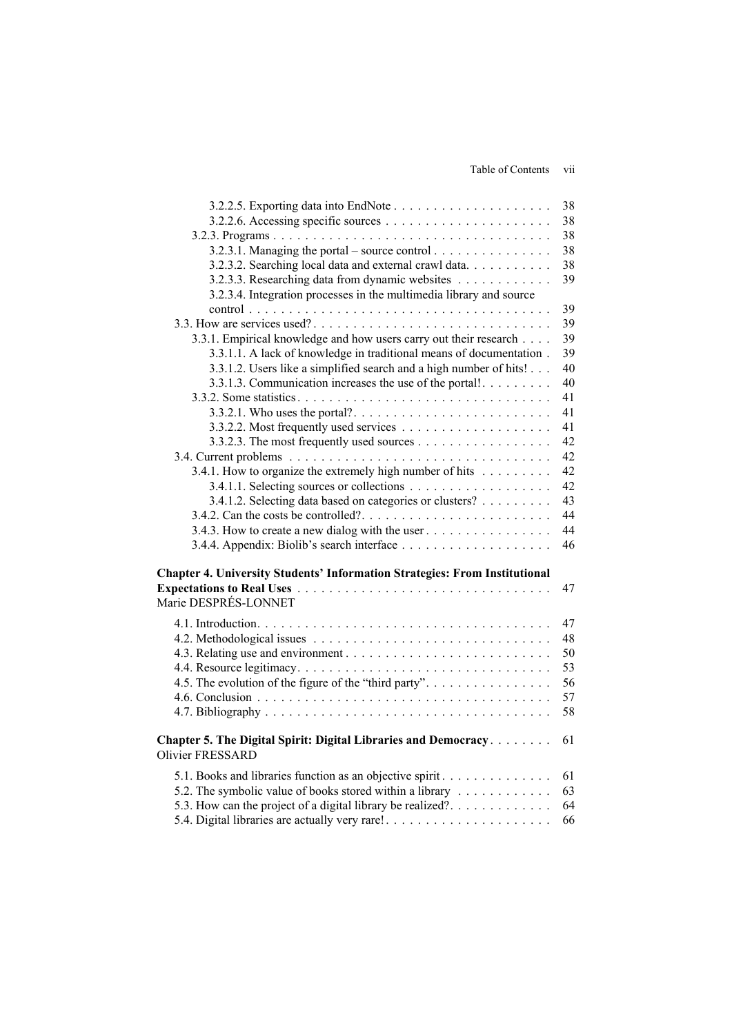Table of Contents vii

|                                                                            | 38 |
|----------------------------------------------------------------------------|----|
|                                                                            | 38 |
|                                                                            | 38 |
|                                                                            | 38 |
| 3.2.3.2. Searching local data and external crawl data.                     | 38 |
| 3.2.3.3. Researching data from dynamic websites                            | 39 |
| 3.2.3.4. Integration processes in the multimedia library and source        |    |
|                                                                            | 39 |
|                                                                            | 39 |
| 3.3.1. Empirical knowledge and how users carry out their research          | 39 |
| 3.3.1.1. A lack of knowledge in traditional means of documentation.        | 39 |
| 3.3.1.2. Users like a simplified search and a high number of hits!         | 40 |
| 3.3.1.3. Communication increases the use of the portal!                    | 40 |
|                                                                            | 41 |
|                                                                            | 41 |
|                                                                            | 41 |
|                                                                            | 42 |
|                                                                            | 42 |
| 3.4.1. How to organize the extremely high number of hits                   | 42 |
|                                                                            | 42 |
| 3.4.1.2. Selecting data based on categories or clusters?                   | 43 |
|                                                                            | 44 |
| 3.4.3. How to create a new dialog with the user                            | 44 |
|                                                                            | 46 |
|                                                                            |    |
| Chapter 4. University Students' Information Strategies: From Institutional |    |
|                                                                            | 47 |
| Marie DESPRÉS-LONNET                                                       |    |
|                                                                            | 47 |
|                                                                            | 48 |
|                                                                            | 50 |
|                                                                            | 53 |
| 4.5. The evolution of the figure of the "third party".                     | 56 |
|                                                                            | 57 |
|                                                                            | 58 |
|                                                                            |    |
| Chapter 5. The Digital Spirit: Digital Libraries and Democracy             | 61 |
| <b>Olivier FRESSARD</b>                                                    |    |
|                                                                            |    |
| 5.1. Books and libraries function as an objective spirit.                  | 61 |
| 5.2. The symbolic value of books stored within a library                   | 63 |
| 5.3. How can the project of a digital library be realized?.                | 64 |
|                                                                            | 66 |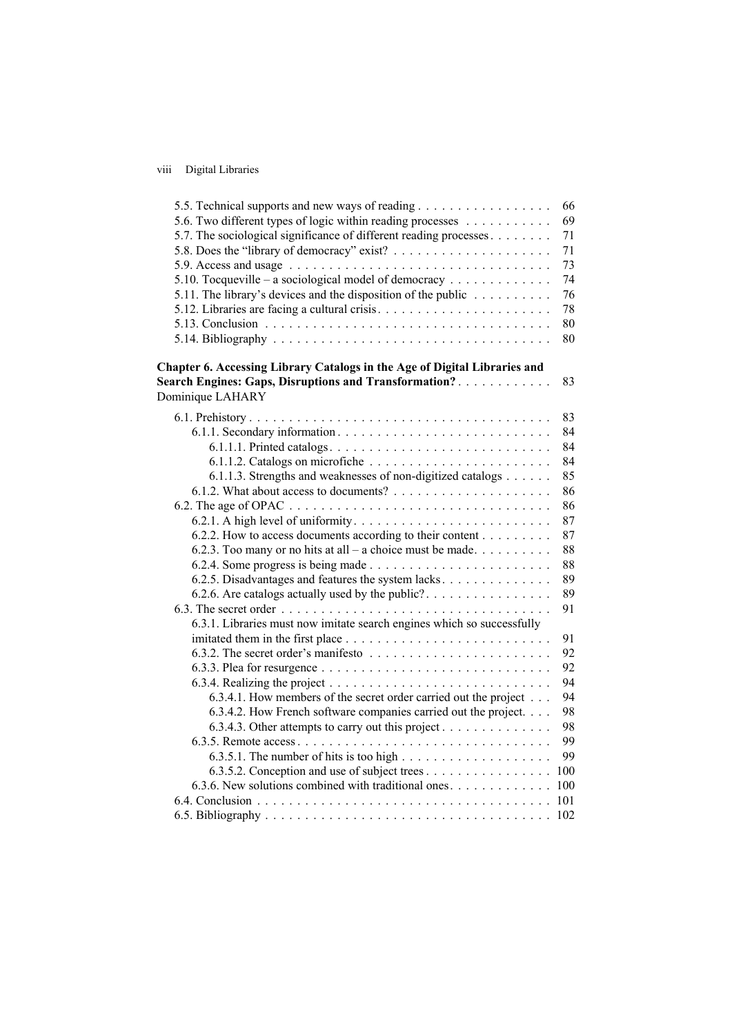#### viii Digital Libraries

| 5.5. Technical supports and new ways of reading                                      | 66  |
|--------------------------------------------------------------------------------------|-----|
| 5.6. Two different types of logic within reading processes                           | 69  |
| 5.7. The sociological significance of different reading processes                    | 71  |
|                                                                                      | 71  |
|                                                                                      | 73  |
| 5.10. Tocqueville – a sociological model of democracy                                | 74  |
| 5.11. The library's devices and the disposition of the public $\ldots \ldots \ldots$ | 76  |
|                                                                                      | 78  |
|                                                                                      | 80  |
|                                                                                      | 80  |
| Chapter 6. Accessing Library Catalogs in the Age of Digital Libraries and            |     |
| <b>Search Engines: Gaps, Disruptions and Transformation?</b>                         | 83  |
| Dominique LAHARY                                                                     |     |
|                                                                                      | 83  |
|                                                                                      | 84  |
|                                                                                      | 84  |
|                                                                                      | 84  |
| 6.1.1.3. Strengths and weaknesses of non-digitized catalogs                          | 85  |
|                                                                                      | 86  |
|                                                                                      | 86  |
|                                                                                      | 87  |
| 6.2.2. How to access documents according to their content                            | 87  |
| 6.2.3. Too many or no hits at all – a choice must be made                            | 88  |
|                                                                                      | 88  |
| 6.2.5. Disadvantages and features the system lacks                                   | 89  |
|                                                                                      | 89  |
|                                                                                      | 91  |
| 6.3.1. Libraries must now imitate search engines which so successfully               |     |
|                                                                                      | 91  |
|                                                                                      | 92  |
|                                                                                      | 92  |
|                                                                                      | 94  |
| 6.3.4.1. How members of the secret order carried out the project                     | 94  |
| 6.3.4.2. How French software companies carried out the project.                      | 98  |
| 6.3.4.3. Other attempts to carry out this project                                    | 98  |
|                                                                                      | 99  |
| 6.3.5.1. The number of hits is too high $\dots \dots \dots \dots \dots \dots \dots$  | 99  |
| 6.3.5.2. Conception and use of subject trees                                         | 100 |
| 6.3.6. New solutions combined with traditional ones                                  | 100 |
|                                                                                      | 101 |
|                                                                                      | 102 |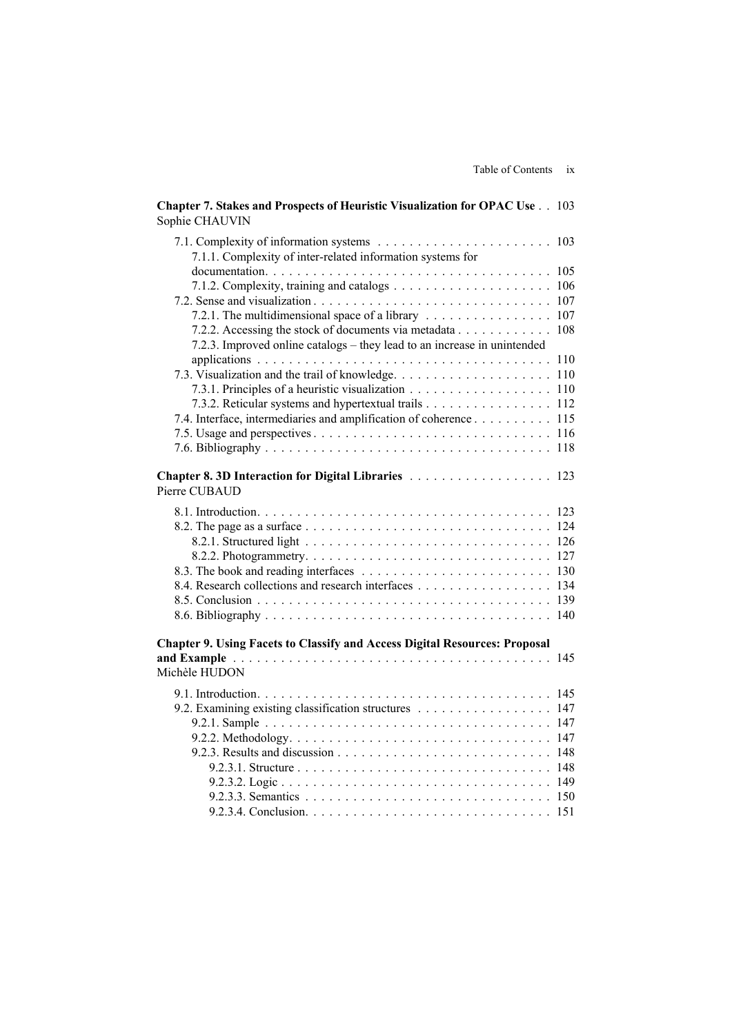| гандс от сляцения                                                                                               |     |
|-----------------------------------------------------------------------------------------------------------------|-----|
| Chapter 7. Stakes and Prospects of Heuristic Visualization for OPAC Use 103<br>Sophie CHAUVIN                   |     |
| 7.1.1. Complexity of inter-related information systems for                                                      |     |
|                                                                                                                 |     |
|                                                                                                                 |     |
| 7.2. Sense and visualization $\ldots \ldots \ldots \ldots \ldots \ldots \ldots \ldots \ldots \ldots \ldots 107$ |     |
| 7.2.1. The multidimensional space of a library 107                                                              |     |
| 7.2.2. Accessing the stock of documents via metadata 108                                                        |     |
| 7.2.3. Improved online catalogs – they lead to an increase in unintended                                        |     |
|                                                                                                                 |     |
|                                                                                                                 |     |
| 7.3.1. Principles of a heuristic visualization 110                                                              |     |
| 7.3.2. Reticular systems and hypertextual trails 112                                                            |     |
| 7.4. Interface, intermediaries and amplification of coherence 115                                               |     |
|                                                                                                                 |     |
|                                                                                                                 |     |
| Chapter 8.3D Interaction for Digital Libraries  123<br>Pierre CUBAUD                                            |     |
|                                                                                                                 |     |
|                                                                                                                 |     |
|                                                                                                                 |     |
|                                                                                                                 |     |
|                                                                                                                 |     |
| 8.4. Research collections and research interfaces 134                                                           |     |
|                                                                                                                 |     |
|                                                                                                                 |     |
| <b>Chapter 9. Using Facets to Classify and Access Digital Resources: Proposal</b>                               |     |
| Michèle HUDON                                                                                                   |     |
|                                                                                                                 |     |
| 9.2. Examining existing classification structures 147                                                           |     |
|                                                                                                                 |     |
| 9.2.2. Methodology. $\dots \dots \dots \dots \dots \dots \dots \dots \dots \dots \dots \dots \dots$             | 147 |
|                                                                                                                 | 148 |
|                                                                                                                 | 148 |
|                                                                                                                 | 149 |
|                                                                                                                 | 150 |
|                                                                                                                 | 151 |
|                                                                                                                 |     |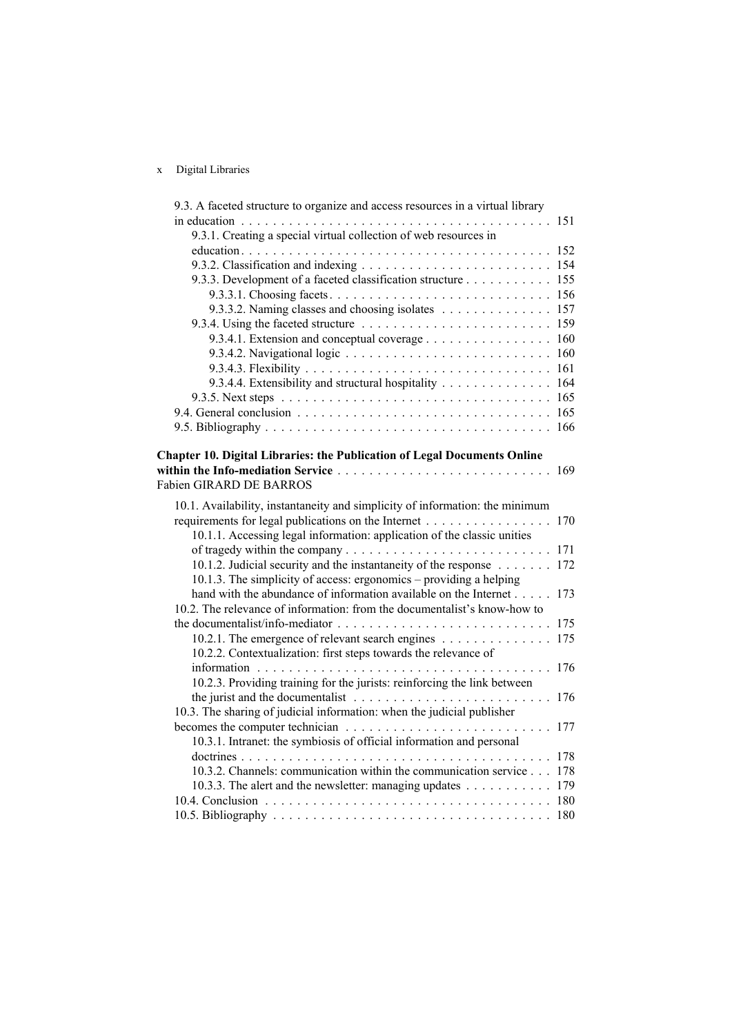#### x Digital Libraries

| 9.3. A faceted structure to organize and access resources in a virtual library                          |     |
|---------------------------------------------------------------------------------------------------------|-----|
|                                                                                                         |     |
| 9.3.1. Creating a special virtual collection of web resources in                                        |     |
|                                                                                                         |     |
|                                                                                                         |     |
| 9.3.3. Development of a faceted classification structure 155                                            |     |
|                                                                                                         |     |
| 9.3.3.2. Naming classes and choosing isolates 157                                                       |     |
| 9.3.4. Using the faceted structure $\ldots \ldots \ldots \ldots \ldots \ldots \ldots \ldots \ldots 159$ |     |
| 9.3.4.1. Extension and conceptual coverage 160                                                          |     |
|                                                                                                         |     |
|                                                                                                         |     |
| 9.3.4.4. Extensibility and structural hospitality 164                                                   |     |
|                                                                                                         |     |
|                                                                                                         |     |
|                                                                                                         |     |
|                                                                                                         |     |
| <b>Chapter 10. Digital Libraries: the Publication of Legal Documents Online</b>                         |     |
| <b>Fabien GIRARD DE BARROS</b>                                                                          |     |
|                                                                                                         |     |
| 10.1. Availability, instantaneity and simplicity of information: the minimum                            |     |
| requirements for legal publications on the Internet                                                     | 170 |
| 10.1.1. Accessing legal information: application of the classic unities                                 |     |
|                                                                                                         |     |
| 10.1.2. Judicial security and the instantaneity of the response                                         | 172 |
| 10.1.3. The simplicity of access: ergonomics – providing a helping                                      |     |
| hand with the abundance of information available on the Internet                                        | 173 |
| 10.2. The relevance of information: from the documentalist's know-how to                                |     |
|                                                                                                         |     |
| 10.2.1. The emergence of relevant search engines                                                        | 175 |
| 10.2.2. Contextualization: first steps towards the relevance of                                         |     |
|                                                                                                         | 176 |
| 10.2.3. Providing training for the jurists: reinforcing the link between                                |     |
| the jurist and the documentalist $\ldots \ldots \ldots \ldots \ldots \ldots \ldots \ldots$              | 176 |
| 10.3. The sharing of judicial information: when the judicial publisher                                  |     |
|                                                                                                         | 177 |
| 10.3.1. Intranet: the symbiosis of official information and personal                                    |     |
|                                                                                                         |     |
| 10.3.2. Channels: communication within the communication service 178                                    |     |
| 10.3.3. The alert and the newsletter: managing updates 179                                              |     |
|                                                                                                         |     |
|                                                                                                         |     |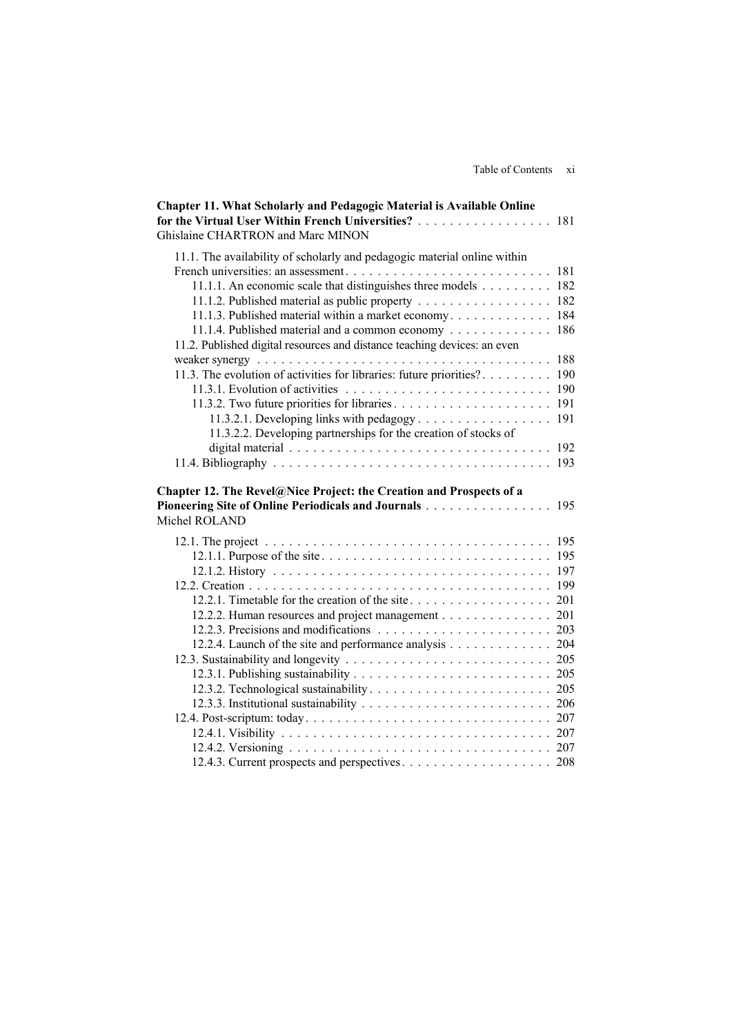| Chapter 11. What Scholarly and Pedagogic Material is Available Online                |     |
|--------------------------------------------------------------------------------------|-----|
| for the Virtual User Within French Universities?                                     | 181 |
| Ghislaine CHARTRON and Marc MINON                                                    |     |
| 11.1. The availability of scholarly and pedagogic material online within             |     |
|                                                                                      | 181 |
| 11.1.1. An economic scale that distinguishes three models $\ldots \ldots \ldots$ 182 |     |
| 11.1.2. Published material as public property 182                                    |     |
| 11.1.3. Published material within a market economy 184                               |     |
| 11.1.4. Published material and a common economy                                      | 186 |
| 11.2. Published digital resources and distance teaching devices: an even             |     |
|                                                                                      | 188 |
| 11.3. The evolution of activities for libraries: future priorities?                  | 190 |
|                                                                                      |     |
|                                                                                      |     |
| 11.3.2.1. Developing links with pedagogy                                             | 191 |
| 11.3.2.2. Developing partnerships for the creation of stocks of                      |     |
|                                                                                      |     |
|                                                                                      |     |
|                                                                                      |     |
| Chapter 12. The Revel@Nice Project: the Creation and Prospects of a                  |     |
| Pioneering Site of Online Periodicals and Journals                                   | 195 |
| Michel ROLAND                                                                        |     |
|                                                                                      |     |
|                                                                                      |     |
|                                                                                      |     |
|                                                                                      |     |
|                                                                                      |     |
| 12.2.2. Human resources and project management 201                                   |     |
|                                                                                      |     |
| 12.2.4. Launch of the site and performance analysis 204                              |     |
|                                                                                      |     |
|                                                                                      |     |
|                                                                                      |     |
|                                                                                      |     |
|                                                                                      |     |
|                                                                                      |     |
|                                                                                      |     |
|                                                                                      |     |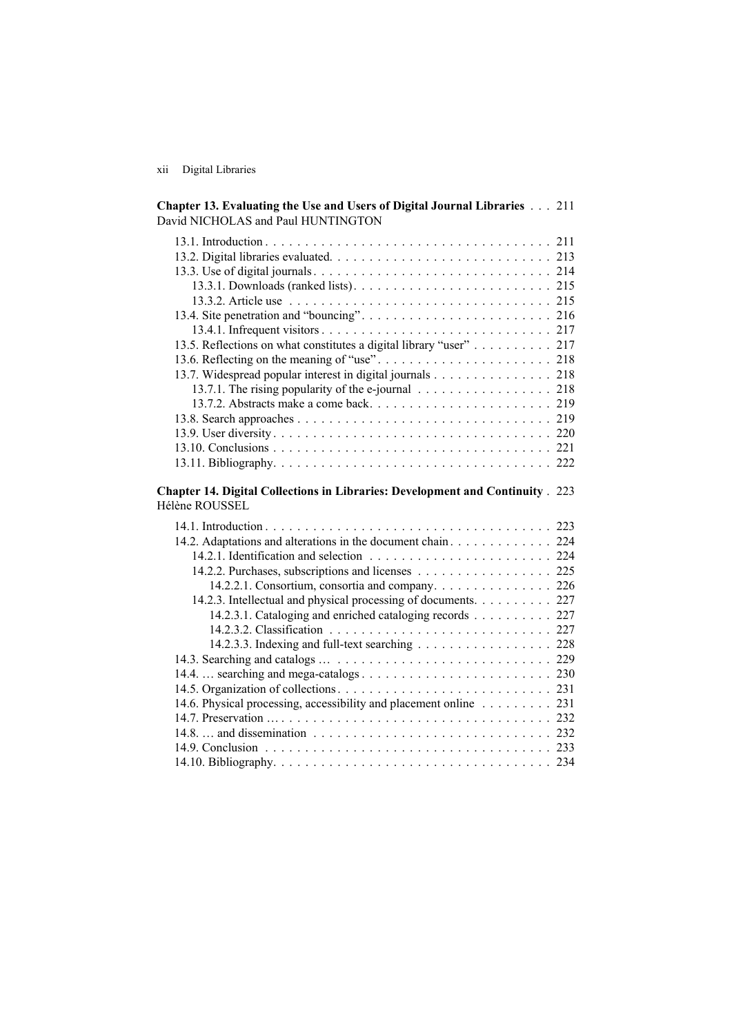xii Digital Libraries

| Chapter 13. Evaluating the Use and Users of Digital Journal Libraries 211<br>David NICHOLAS and Paul HUNTINGTON |  |
|-----------------------------------------------------------------------------------------------------------------|--|
|                                                                                                                 |  |
|                                                                                                                 |  |
|                                                                                                                 |  |
|                                                                                                                 |  |
|                                                                                                                 |  |
|                                                                                                                 |  |
|                                                                                                                 |  |
| 13.5. Reflections on what constitutes a digital library "user" 217                                              |  |
|                                                                                                                 |  |
| 13.7. Widespread popular interest in digital journals 218                                                       |  |
| 13.7.1. The rising popularity of the e-journal 218                                                              |  |
|                                                                                                                 |  |
|                                                                                                                 |  |
|                                                                                                                 |  |
|                                                                                                                 |  |
|                                                                                                                 |  |
|                                                                                                                 |  |
| Chapter 14. Digital Collections in Libraries: Development and Continuity . 223<br>Hélène ROUSSEL                |  |
|                                                                                                                 |  |
|                                                                                                                 |  |
|                                                                                                                 |  |
|                                                                                                                 |  |
| 14.2.2. Purchases, subscriptions and licenses 225                                                               |  |
|                                                                                                                 |  |
| 14.2.3. Intellectual and physical processing of documents. 227                                                  |  |
| 14.2.3.1. Cataloging and enriched cataloging records 227                                                        |  |
|                                                                                                                 |  |
| 14.2.3.3. Indexing and full-text searching 228                                                                  |  |
|                                                                                                                 |  |
|                                                                                                                 |  |
|                                                                                                                 |  |
| 14.6. Physical processing, accessibility and placement online 231                                               |  |
|                                                                                                                 |  |
|                                                                                                                 |  |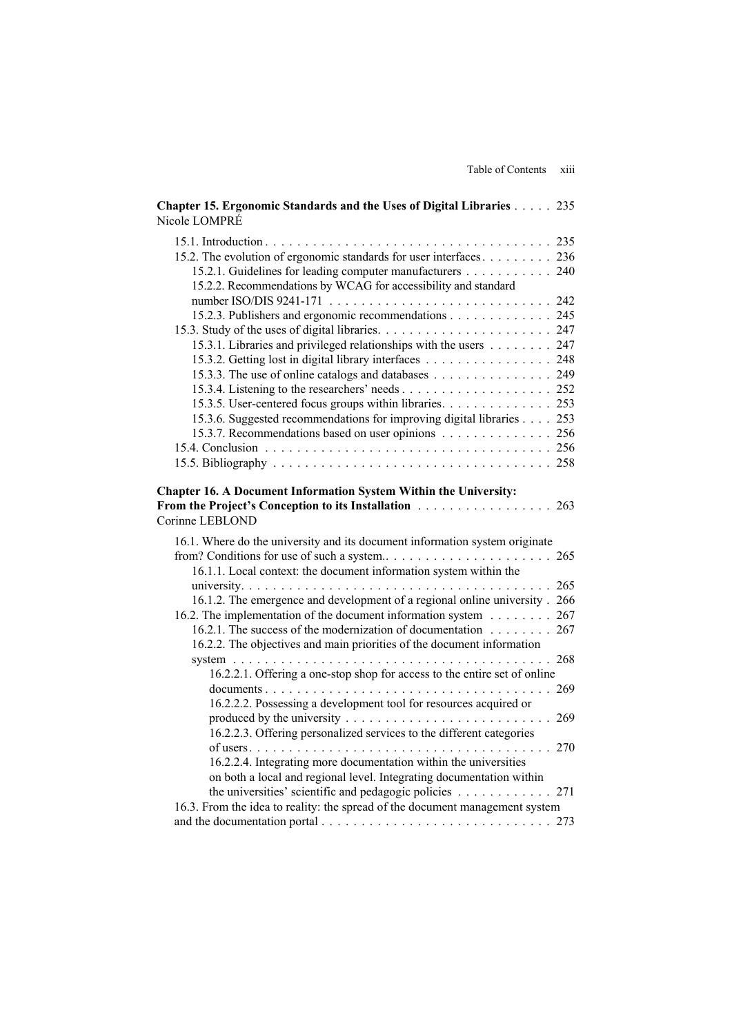| Chapter 15. Ergonomic Standards and the Uses of Digital Libraries 235<br>Nicole LOMPRÉ                                                           |     |
|--------------------------------------------------------------------------------------------------------------------------------------------------|-----|
|                                                                                                                                                  |     |
| 15.2. The evolution of ergonomic standards for user interfaces 236                                                                               |     |
| 15.2.1. Guidelines for leading computer manufacturers 240                                                                                        |     |
| 15.2.2. Recommendations by WCAG for accessibility and standard                                                                                   |     |
| 15.2.3. Publishers and ergonomic recommendations 245                                                                                             |     |
|                                                                                                                                                  |     |
| 15.3.1. Libraries and privileged relationships with the users 247                                                                                |     |
| 15.3.2. Getting lost in digital library interfaces 248                                                                                           |     |
| 15.3.3. The use of online catalogs and databases 249                                                                                             |     |
|                                                                                                                                                  |     |
| 15.3.5. User-centered focus groups within libraries. 253                                                                                         |     |
| 15.3.6. Suggested recommendations for improving digital libraries 253                                                                            |     |
| 15.3.7. Recommendations based on user opinions 256                                                                                               |     |
|                                                                                                                                                  |     |
|                                                                                                                                                  |     |
| From the Project's Conception to its Installation<br>Corinne LEBLOND                                                                             | 263 |
| 16.1. Where do the university and its document information system originate<br>16.1.1. Local context: the document information system within the |     |
|                                                                                                                                                  |     |
| 16.1.2. The emergence and development of a regional online university. 266                                                                       |     |
| 16.2. The implementation of the document information system 267                                                                                  |     |
| 16.2.1. The success of the modernization of documentation 267<br>16.2.2. The objectives and main priorities of the document information          |     |
|                                                                                                                                                  |     |
| 16.2.2.1. Offering a one-stop shop for access to the entire set of online                                                                        |     |
|                                                                                                                                                  | 269 |
| 16.2.2.2. Possessing a development tool for resources acquired or                                                                                |     |
|                                                                                                                                                  |     |
| 16.2.2.3. Offering personalized services to the different categories                                                                             |     |
| 270                                                                                                                                              |     |
| 16.2.2.4. Integrating more documentation within the universities<br>on both a local and regional level. Integrating documentation within         |     |
| the universities' scientific and pedagogic policies $\ldots \ldots \ldots \ldots 271$                                                            |     |
| 16.3. From the idea to reality: the spread of the document management system                                                                     |     |
|                                                                                                                                                  |     |